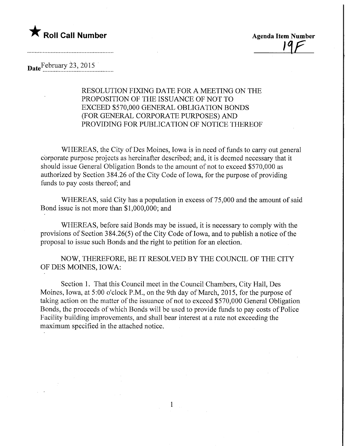

**Agenda Item Number** 

## Date February 23, 2015

## RESOLUTION FIXING DATE FOR A MEETING ON THE PROPOSITION OF THE ISSUANCE OF NOT TO EXCEED \$570,000 GENERAL OBLIGATION BONDS (FOR GENERAL CORPORATE PURPOSES) AND PROVIDING FOR PUBLICATION OF NOTICE THEREOF

WHEREAS, the City of Des Moines, Iowa is in need of funds to carry out general corporate purpose projects as hereinafter described; and, it is deemed necessary that it should issue General Obligation Bonds to the amount of not to exceed \$570,000 as authorized by Section 384.26 of the City Code of Iowa, for the purpose of providing funds to pay costs thereof; and

WHEREAS, said City has a population in excess of 75,000 and the amount of said Bond issue is not more than \$1,000,000; and

WHEREAS, before said Bonds may be issued, it is necessary to comply with the provisions of Section 384.26(5) of the City Code of Iowa, and to publish a notice of the proposal to issue such Bonds and the right to petition for an election.

NOW, THEREFORE, BE IT RESOLVED BY THE COUNCIL OF THE CITY OF DES MOINES, IOWA:

Section 1. That this Council meet in the Council Chambers, City Hall, Des Moines, Iowa, at 5:00 o'clock P.M., on the 9th day of March, 2015, for the purpose of taking action on the matter of the issuance of not to exceed \$570,000 General Obligation Bonds, the proceeds of which Bonds will be used to provide funds to pay costs of Police Facility building improvements, and shall bear interest at a rate not exceeding the maximum specified in the attached notice.

 $1$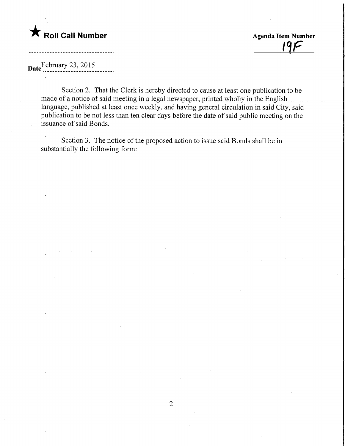

<u> 19F</u>

Date February 23, 2015

Section 2. That the Clerk is hereby directed to cause at least one publication to be made of a notice of said meeting in a legal newspaper, printed wholly in the English language, published at least once weekly, and having general circulation in said City, said publication to be not less than ten clear days before the date of said public meeting on the issuance of said Bonds.

Section 3. The notice of the proposed action to issue said Bonds shall be in substantially the following form: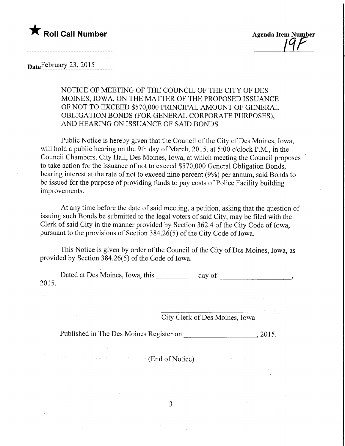

## Date February 23, 2015

NOTICE OF MEETING OF THE COUNCIL OF THE CITY OF DES MOINES, IOWA, ON THE MATTER OF THE PROPOSED ISSUANCE OF NOT TO EXCEED \$570,000 PRINCIPAL AMOUNT OF GENERAL OBLIGATION BONDS (FOR GENERAL CORPORATE PURPOSES), AND HEARING ON ISSUANCE OF SAID BONDS

Public Notice is hereby given that the Council of the City of Des Moines, Iowa, will hold a public hearing on the 9th day of March, 2015, at 5:00 o'clock P.M., in the Council Chambers, City Hall, Des Moines, Iowa, at which meeting the Council proposes to take action for the issuance of not to exceed \$570,000 General Obligation Bonds, bearing interest at the rate of not to exceed nine percent (9%) per annum, said Bonds to be issued for the purpose of providing funds to pay costs of Police Facility building improvements.

At any time before the date of said meeting, a petition, asking that the question of issuing such Bonds be submitted to the legal voters of said City, may be filed with the Clerk of said City in the manner provided by Section 362.4 of the City Code of Iowa, pursuant to the provisions of Section 384.26(5) of the City Code of Iowa.

This Notice is given by order of the Council of the City of Des Moines, Iowa, as provided by Section 384.26(5) of the Code of Iowa.

Dated at Des Moines, Iowa, this day of the day of the state of the state of the state of the state of the state of the state of the state of the state of the state of the state of the state of the state of the state of the 2015.

City Clerk of Des Moines, Iowa

Published in The Des Moines Register on \_, 2015.

(End of Notice)

 $3<sup>1</sup>$